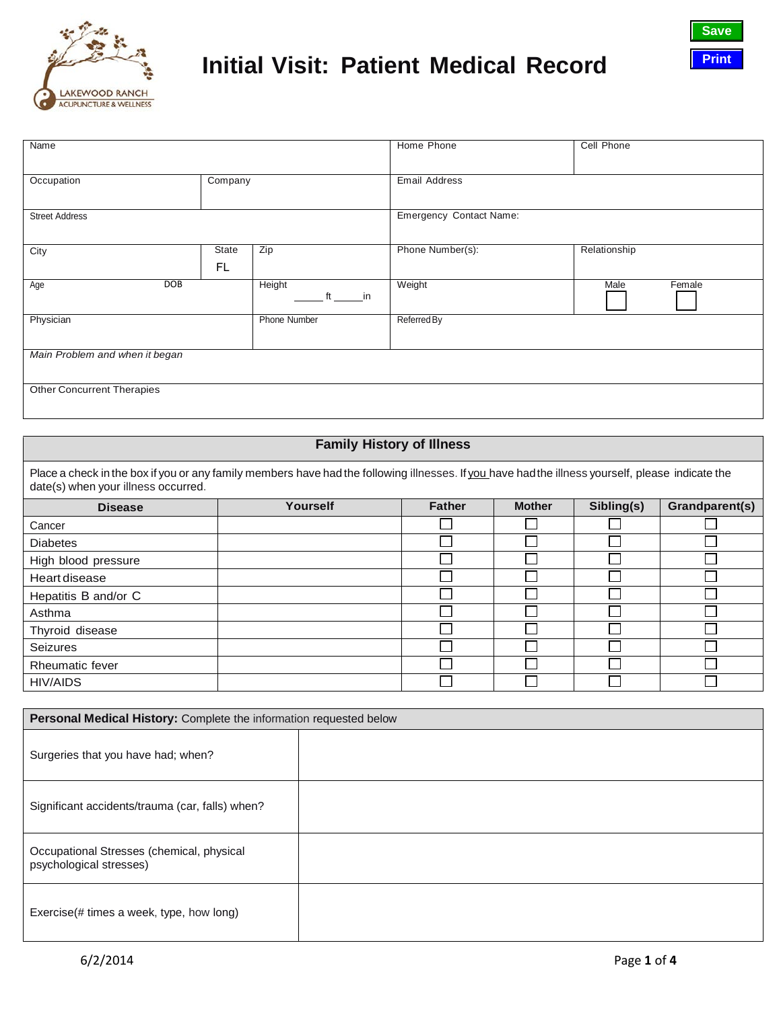



| Name                              |             |                                | Home Phone       | Cell Phone     |
|-----------------------------------|-------------|--------------------------------|------------------|----------------|
| Occupation                        | Company     |                                | Email Address    |                |
| <b>Street Address</b>             |             | <b>Emergency Contact Name:</b> |                  |                |
| City                              | State<br>FL | Zip                            | Phone Number(s): | Relationship   |
| Age                               | <b>DOB</b>  | Height<br>ft in                | Weight           | Male<br>Female |
| Physician                         |             | Phone Number                   | Referred By      |                |
| Main Problem and when it began    |             |                                |                  |                |
| <b>Other Concurrent Therapies</b> |             |                                |                  |                |

### **Family History of Illness**

Place a check in the box if you or any family members have had the following illnesses. If you have had the illness yourself, please indicate the date(s) when your illness occurred.

| <b>Disease</b>       | Yourself | <b>Father</b> | <b>Mother</b> | Sibling(s) | Grandparent(s) |
|----------------------|----------|---------------|---------------|------------|----------------|
| Cancer               |          |               |               |            |                |
| <b>Diabetes</b>      |          |               |               |            |                |
| High blood pressure  |          |               |               |            |                |
| Heart disease        |          |               |               |            |                |
| Hepatitis B and/or C |          |               |               |            |                |
| Asthma               |          |               |               |            |                |
| Thyroid disease      |          |               |               |            |                |
| Seizures             |          |               |               |            |                |
| Rheumatic fever      |          |               |               |            |                |
| <b>HIV/AIDS</b>      |          |               |               |            |                |

| Personal Medical History: Complete the information requested below   |  |  |  |
|----------------------------------------------------------------------|--|--|--|
| Surgeries that you have had; when?                                   |  |  |  |
| Significant accidents/trauma (car, falls) when?                      |  |  |  |
| Occupational Stresses (chemical, physical<br>psychological stresses) |  |  |  |
| Exercise(# times a week, type, how long)                             |  |  |  |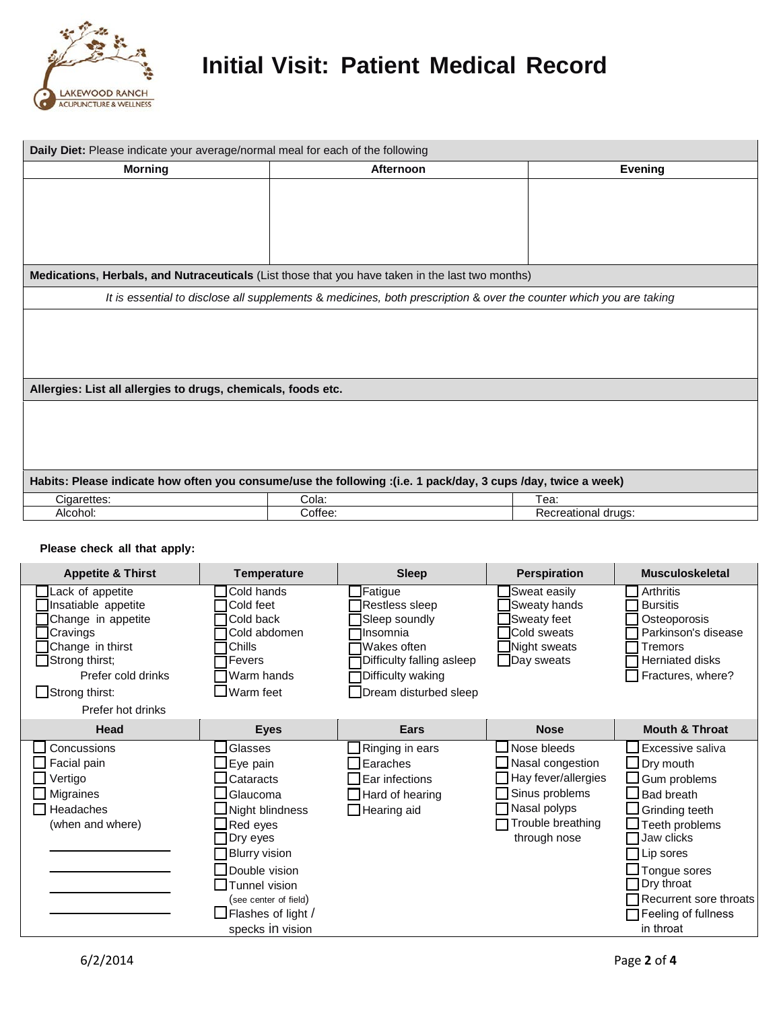

| Daily Diet: Please indicate your average/normal meal for each of the following                                |                                                                                                                    |                     |  |  |  |
|---------------------------------------------------------------------------------------------------------------|--------------------------------------------------------------------------------------------------------------------|---------------------|--|--|--|
| <b>Morning</b>                                                                                                | Afternoon                                                                                                          | Evening             |  |  |  |
|                                                                                                               |                                                                                                                    |                     |  |  |  |
|                                                                                                               |                                                                                                                    |                     |  |  |  |
|                                                                                                               |                                                                                                                    |                     |  |  |  |
|                                                                                                               |                                                                                                                    |                     |  |  |  |
|                                                                                                               |                                                                                                                    |                     |  |  |  |
|                                                                                                               | Medications, Herbals, and Nutraceuticals (List those that you have taken in the last two months)                   |                     |  |  |  |
|                                                                                                               | It is essential to disclose all supplements & medicines, both prescription & over the counter which you are taking |                     |  |  |  |
|                                                                                                               |                                                                                                                    |                     |  |  |  |
| Allergies: List all allergies to drugs, chemicals, foods etc.                                                 |                                                                                                                    |                     |  |  |  |
|                                                                                                               |                                                                                                                    |                     |  |  |  |
|                                                                                                               |                                                                                                                    |                     |  |  |  |
|                                                                                                               |                                                                                                                    |                     |  |  |  |
|                                                                                                               |                                                                                                                    |                     |  |  |  |
| Habits: Please indicate how often you consume/use the following :(i.e. 1 pack/day, 3 cups /day, twice a week) |                                                                                                                    |                     |  |  |  |
| Cigarettes:                                                                                                   | Cola:                                                                                                              | Tea:                |  |  |  |
| Alcohol:                                                                                                      | Coffee:                                                                                                            | Recreational drugs: |  |  |  |

#### **Please check all that apply:**

| <b>Appetite &amp; Thirst</b>                                                                                                                                                        | <b>Temperature</b>                                                                                                                                                                                                   | <b>Sleep</b>                                                                                                                                     | <b>Perspiration</b>                                                                                                                  | <b>Musculoskeletal</b>                                                                                                                                                                                                                |
|-------------------------------------------------------------------------------------------------------------------------------------------------------------------------------------|----------------------------------------------------------------------------------------------------------------------------------------------------------------------------------------------------------------------|--------------------------------------------------------------------------------------------------------------------------------------------------|--------------------------------------------------------------------------------------------------------------------------------------|---------------------------------------------------------------------------------------------------------------------------------------------------------------------------------------------------------------------------------------|
| Lack of appetite<br>Insatiable appetite<br>Change in appetite<br>Cravings<br>Change in thirst<br>Strong thirst;<br>Prefer cold drinks<br>$\Box$ Strong thirst:<br>Prefer hot drinks | Cold hands<br>Cold feet<br>Cold back<br>Cold abdomen<br>Chills<br><b>Fevers</b><br>Warm hands<br><b>J</b> Warm feet                                                                                                  | Fatigue<br>Restless sleep<br>Sleep soundly<br>Insomnia<br>Wakes often<br>Difficulty falling asleep<br>Difficulty waking<br>Dream disturbed sleep | Sweat easily<br>Sweaty hands<br>Sweaty feet<br><b>Cold sweats</b><br>Night sweats<br>$\Box$ Day sweats                               | Arthritis<br><b>Bursitis</b><br>Osteoporosis<br>Parkinson's disease<br>Tremors<br>Herniated disks<br>Fractures, where?                                                                                                                |
| Head                                                                                                                                                                                | <b>Eyes</b>                                                                                                                                                                                                          | Ears                                                                                                                                             | <b>Nose</b>                                                                                                                          | <b>Mouth &amp; Throat</b>                                                                                                                                                                                                             |
| Concussions<br>Facial pain<br>Vertigo<br>Migraines<br>Headaches<br>(when and where)                                                                                                 | Glasses<br>Eye pain<br>Cataracts<br>Glaucoma<br>Night blindness<br>Red eyes<br>Dry eyes<br><b>Blurry vision</b><br>Double vision<br>Tunnel vision<br>(see center of field)<br>Flashes of light /<br>specks in vision | Ringing in ears<br>Earaches<br>Ear infections<br>Hard of hearing<br>$\Box$ Hearing aid                                                           | Nose bleeds<br>Nasal congestion<br>$\Box$ Hay fever/allergies<br>Sinus problems<br>Nasal polyps<br>Trouble breathing<br>through nose | Excessive saliva<br>Dry mouth<br>Gum problems<br>$\sf J$ Bad breath<br><b>Grinding teeth</b><br>Teeth problems<br>Jaw clicks<br>Lip sores<br>Tongue sores<br>Dry throat<br>Recurrent sore throats<br>Feeling of fullness<br>in throat |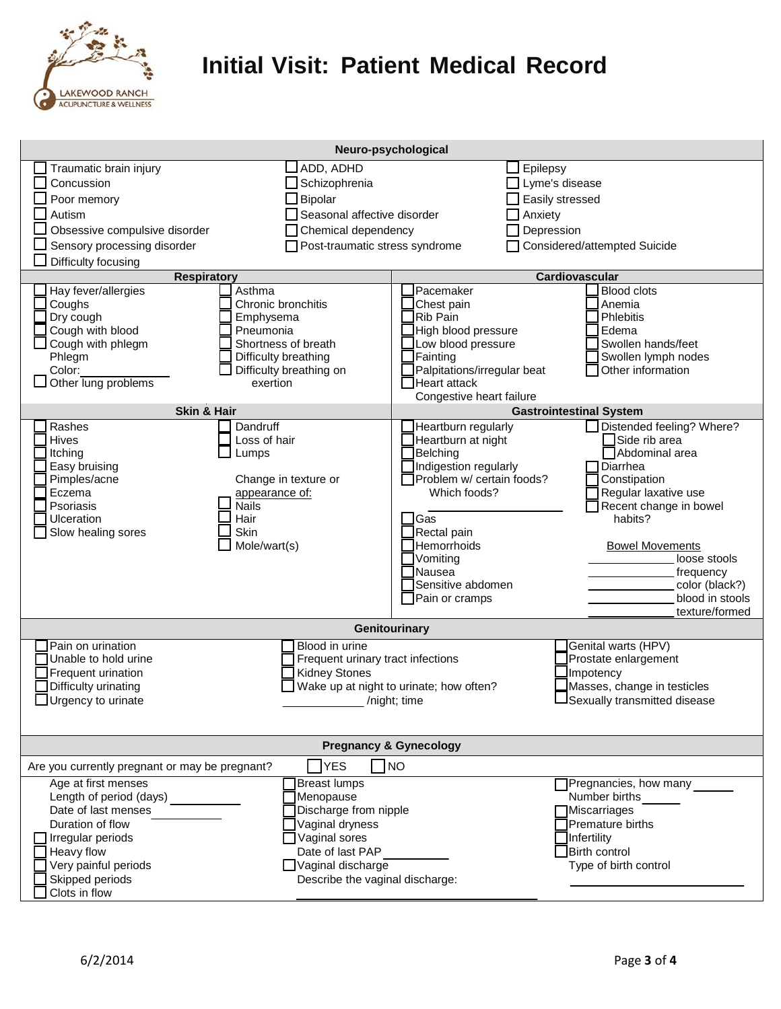

| Neuro-psychological                                                                                                                                                                             |                                                                                                                                                                                  |                                                                                                                                                                                                                  |                                                                                                                                                                                                                                        |
|-------------------------------------------------------------------------------------------------------------------------------------------------------------------------------------------------|----------------------------------------------------------------------------------------------------------------------------------------------------------------------------------|------------------------------------------------------------------------------------------------------------------------------------------------------------------------------------------------------------------|----------------------------------------------------------------------------------------------------------------------------------------------------------------------------------------------------------------------------------------|
| Traumatic brain injury<br>Concussion<br>Poor memory<br>Autism<br>Obsessive compulsive disorder<br>Sensory processing disorder                                                                   | ADD, ADHD<br>Schizophrenia<br>Bipolar<br>Seasonal affective disorder<br>Chemical dependency<br>Post-traumatic stress syndrome                                                    | Epilepsy<br>$\Box$<br>$\Box$ Lyme's disease<br>Easily stressed<br>Anxiety<br>Depression                                                                                                                          | Considered/attempted Suicide                                                                                                                                                                                                           |
| Difficulty focusing<br><b>Respiratory</b>                                                                                                                                                       |                                                                                                                                                                                  |                                                                                                                                                                                                                  | Cardiovascular                                                                                                                                                                                                                         |
| Hay fever/allergies<br>Coughs<br>Dry cough<br>Cough with blood<br>Cough with phlegm<br>Phlegm<br>Color:<br>Other lung problems<br><b>Skin &amp; Hair</b><br>Rashes                              | Asthma<br>Chronic bronchitis<br>Emphysema<br>Pneumonia<br>Shortness of breath<br>Difficulty breathing<br>Difficulty breathing on<br>exertion<br>Dandruff                         | Pacemaker<br>Chest pain<br>Rib Pain<br>High blood pressure<br>Low blood pressure<br>Fainting<br>Palpitations/irregular beat<br>Heart attack<br>Congestive heart failure<br>Heartburn regularly                   | <b>Blood clots</b><br>Anemia<br>Phlebitis<br>Edema<br>Swollen hands/feet<br>Swollen lymph nodes<br>Other information<br><b>Gastrointestinal System</b><br>Distended feeling? Where?                                                    |
| Hives<br>Itching<br>Easy bruising<br>Pimples/acne<br>Eczema<br>Psoriasis<br>Ulceration<br>Slow healing sores                                                                                    | Loss of hair<br>Lumps<br>Change in texture or<br>appearance of:<br><b>Nails</b><br>Hair<br>Skin<br>Mole/wart(s)                                                                  | Heartburn at night<br>Belching<br>Indigestion regularly<br>Problem w/ certain foods?<br>Which foods?<br>$\exists$ Gas<br>Rectal pain<br>Hemorrhoids<br>Vomiting<br>Nausea<br>Sensitive abdomen<br>Pain or cramps | Side rib area<br>Abdominal area<br>Diarrhea<br>Constipation<br>Regular laxative use<br>Recent change in bowel<br>habits?<br><b>Bowel Movements</b><br>loose stools<br>frequency<br>color (black?)<br>blood in stools<br>texture/formed |
|                                                                                                                                                                                                 | Genitourinary                                                                                                                                                                    |                                                                                                                                                                                                                  |                                                                                                                                                                                                                                        |
| Pain on urination<br>Unable to hold urine<br>Frequent urination<br>Difficulty urinating<br>$\Box$ Urgency to urinate                                                                            | Blood in urine<br>Frequent urinary tract infections<br><b>Kidney Stones</b>                                                                                                      | Wake up at night to urinate; how often?<br>/night; time                                                                                                                                                          | Genital warts (HPV)<br>Prostate enlargement<br>Impotency<br>Masses, change in testicles<br>Sexually transmitted disease                                                                                                                |
| <b>Pregnancy &amp; Gynecology</b>                                                                                                                                                               |                                                                                                                                                                                  |                                                                                                                                                                                                                  |                                                                                                                                                                                                                                        |
| <b>YES</b><br><b>TNO</b><br>Are you currently pregnant or may be pregnant?                                                                                                                      |                                                                                                                                                                                  |                                                                                                                                                                                                                  |                                                                                                                                                                                                                                        |
| Age at first menses<br>Length of period (days)<br>Date of last menses<br>Duration of flow<br>Irregular periods<br><b>Heavy flow</b><br>Very painful periods<br>Skipped periods<br>Clots in flow | <b>Breast lumps</b><br>Menopause<br>Discharge from nipple<br>Vaginal dryness<br>Vaginal sores<br>Date of last PAP<br>$\Box$ Vaginal discharge<br>Describe the vaginal discharge: |                                                                                                                                                                                                                  | Pregnancies, how many<br>Number births<br><b>Miscarriages</b><br>Premature births<br>Infertility<br><b>Birth control</b><br>Type of birth control                                                                                      |